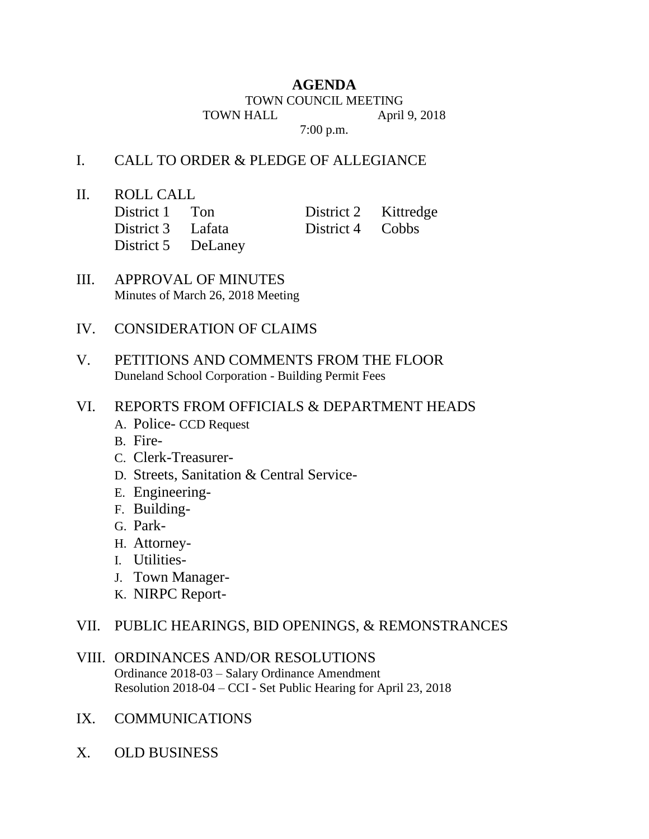# **AGENDA**

TOWN COUNCIL MEETING

TOWN HALL April 9, 2018

7:00 p.m.

## I. CALL TO ORDER & PLEDGE OF ALLEGIANCE

II. ROLL CALL

| District 1 Ton     | District 2 Kittredge |  |
|--------------------|----------------------|--|
| District 3 Lafata  | District 4 Cobbs     |  |
| District 5 DeLaney |                      |  |

III. APPROVAL OF MINUTES Minutes of March 26, 2018 Meeting

## IV. CONSIDERATION OF CLAIMS

V. PETITIONS AND COMMENTS FROM THE FLOOR Duneland School Corporation - Building Permit Fees

## VI. REPORTS FROM OFFICIALS & DEPARTMENT HEADS

- A. Police- CCD Request
- B. Fire-
- C. Clerk-Treasurer-
- D. Streets, Sanitation & Central Service-
- E. Engineering-
- F. Building-
- G. Park-
- H. Attorney-
- I. Utilities-
- J. Town Manager-
- K. NIRPC Report-

#### VII. PUBLIC HEARINGS, BID OPENINGS, & REMONSTRANCES

- VIII. ORDINANCES AND/OR RESOLUTIONS Ordinance 2018-03 – Salary Ordinance Amendment Resolution 2018-04 – CCI - Set Public Hearing for April 23, 2018
- IX. COMMUNICATIONS
- X. OLD BUSINESS